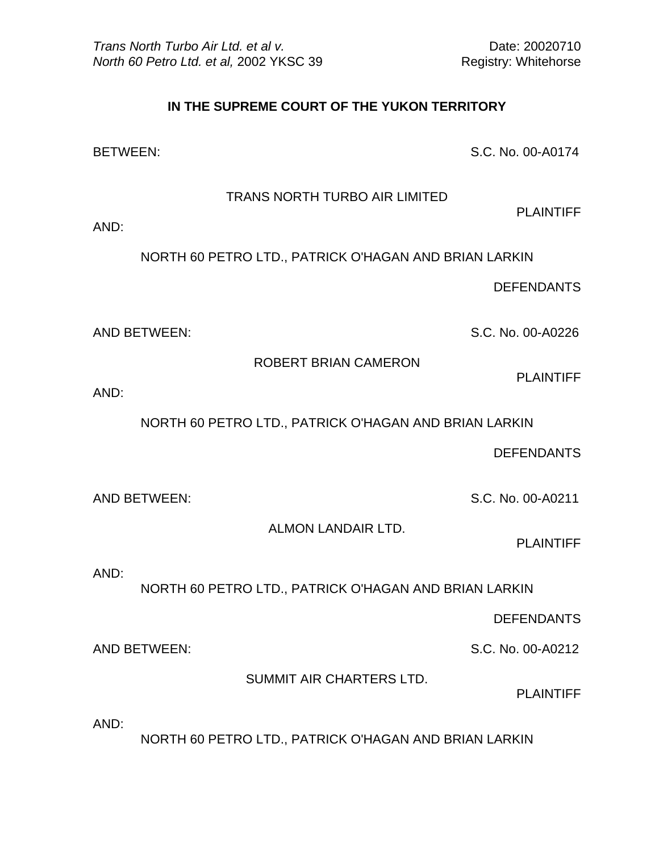## **IN THE SUPREME COURT OF THE YUKON TERRITORY**

BETWEEN: S.C. No. 00-A0174

TRANS NORTH TURBO AIR LIMITED

PLAINTIFF

AND:

NORTH 60 PETRO LTD., PATRICK O'HAGAN AND BRIAN LARKIN

DEFENDANTS

AND BETWEEN: S.C. No. 00-A0226

ROBERT BRIAN CAMERON

PLAINTIFF

AND:

NORTH 60 PETRO LTD., PATRICK O'HAGAN AND BRIAN LARKIN

DEFENDANTS

AND BETWEEN: S.C. No. 00-A0211

ALMON LANDAIR LTD.

PLAINTIFF

AND:

NORTH 60 PETRO LTD., PATRICK O'HAGAN AND BRIAN LARKIN

DEFENDANTS

AND BETWEEN: S.C. No. 00-A0212

SUMMIT AIR CHARTERS LTD.

PLAINTIFF

AND:

NORTH 60 PETRO LTD., PATRICK O'HAGAN AND BRIAN LARKIN